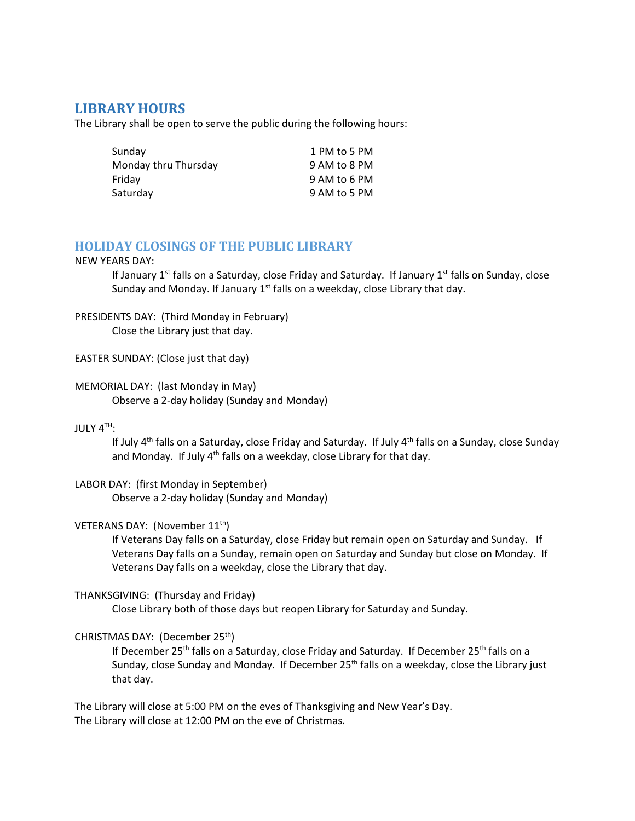# **LIBRARY HOURS**

The Library shall be open to serve the public during the following hours:

| Sunday               | 1 PM to 5 PM |
|----------------------|--------------|
| Monday thru Thursday | 9 AM to 8 PM |
| Friday               | 9 AM to 6 PM |
| Saturday             | 9 AM to 5 PM |

## **HOLIDAY CLOSINGS OF THE PUBLIC LIBRARY**

#### NEW YEARS DAY:

If January  $1<sup>st</sup>$  falls on a Saturday, close Friday and Saturday. If January  $1<sup>st</sup>$  falls on Sunday, close Sunday and Monday. If January  $1<sup>st</sup>$  falls on a weekday, close Library that day.

PRESIDENTS DAY: (Third Monday in February) Close the Library just that day.

EASTER SUNDAY: (Close just that day)

#### MEMORIAL DAY: (last Monday in May) Observe a 2-day holiday (Sunday and Monday)

### JULY 4TH:

If July  $4<sup>th</sup>$  falls on a Saturday, close Friday and Saturday. If July  $4<sup>th</sup>$  falls on a Sunday, close Sunday and Monday. If July  $4<sup>th</sup>$  falls on a weekday, close Library for that day.

LABOR DAY: (first Monday in September) Observe a 2-day holiday (Sunday and Monday)

#### VETERANS DAY: (November 11<sup>th</sup>)

If Veterans Day falls on a Saturday, close Friday but remain open on Saturday and Sunday. If Veterans Day falls on a Sunday, remain open on Saturday and Sunday but close on Monday. If Veterans Day falls on a weekday, close the Library that day.

### THANKSGIVING: (Thursday and Friday)

Close Library both of those days but reopen Library for Saturday and Sunday.

### CHRISTMAS DAY: (December 25<sup>th</sup>)

If December 25<sup>th</sup> falls on a Saturday, close Friday and Saturday. If December 25<sup>th</sup> falls on a Sunday, close Sunday and Monday. If December 25<sup>th</sup> falls on a weekday, close the Library just that day.

The Library will close at 5:00 PM on the eves of Thanksgiving and New Year's Day. The Library will close at 12:00 PM on the eve of Christmas.